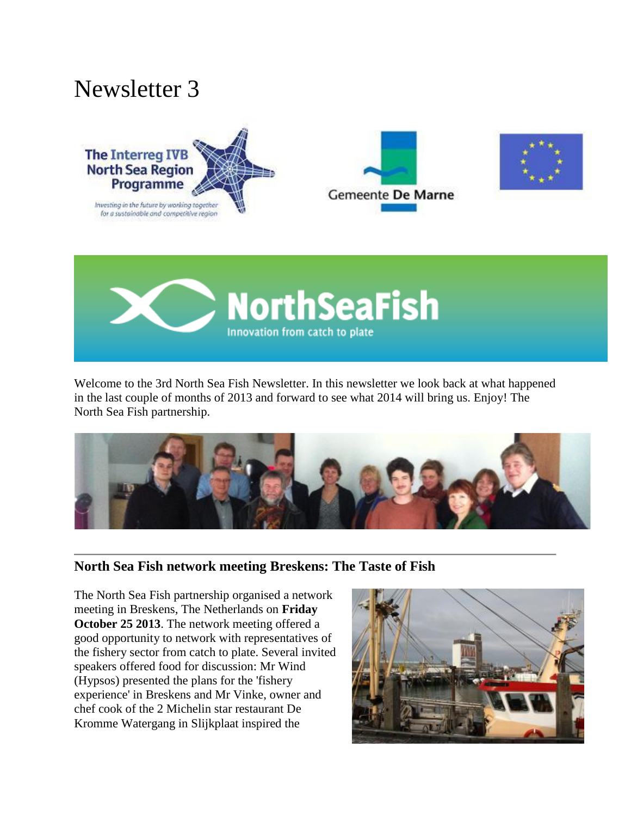# Newsletter 3









Welcome to the 3rd North Sea Fish Newsletter. In this newsletter we look back at what happened in the last couple of months of 2013 and forward to see what 2014 will bring us. Enjoy! The North Sea Fish partnership.



## **North Sea Fish network meeting Breskens: The Taste of Fish**

The North Sea Fish partnership organised a network meeting in Breskens, The Netherlands on **Friday October 25 2013**. The network meeting offered a good opportunity to network with representatives of the fishery sector from catch to plate. Several invited speakers offered food for discussion: Mr Wind (Hypsos) presented the plans for the 'fishery experience' in Breskens and Mr Vinke, owner and chef cook of the 2 Michelin star restaurant De Kromme Watergang in Slijkplaat inspired the

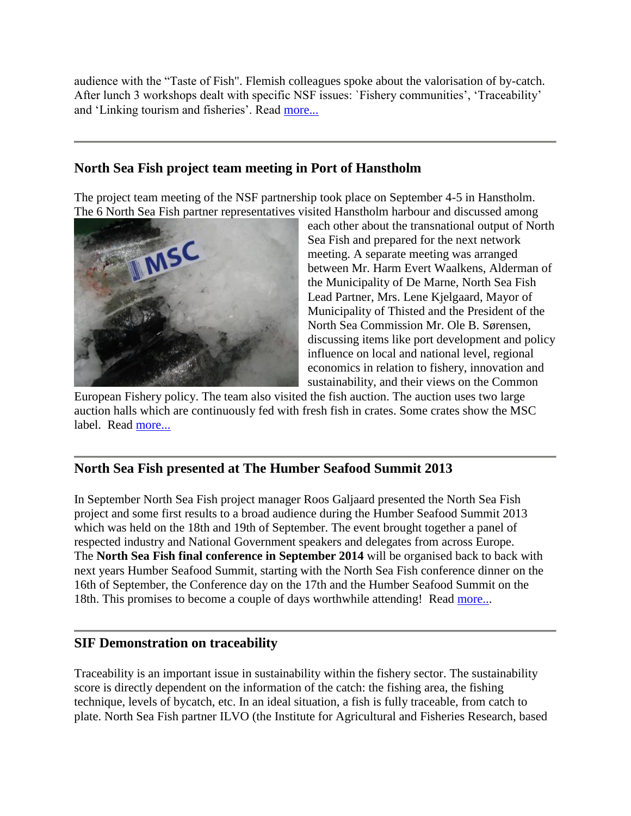audience with the "Taste of Fish". Flemish colleagues spoke about the valorisation of by-catch. After lunch 3 workshops dealt with specific NSF issues: `Fishery communities', 'Traceability' and 'Linking tourism and fisheries'. Read [more...](http://www.northseafish.eu/nsf-network-meeting-breskens-page/)

# **North Sea Fish project team meeting in Port of Hanstholm**

The project team meeting of the NSF partnership took place on September 4-5 in Hanstholm. The 6 North Sea Fish partner representatives visited Hanstholm harbour and discussed among



each other about the transnational output of North Sea Fish and prepared for the next network meeting. A separate meeting was arranged between Mr. Harm Evert Waalkens, Alderman of the Municipality of De Marne, North Sea Fish Lead Partner, Mrs. Lene Kjelgaard, Mayor of Municipality of Thisted and the President of the North Sea Commission Mr. Ole B. Sørensen, discussing items like port development and policy influence on local and national level, regional economics in relation to fishery, innovation and sustainability, and their views on the Common

European Fishery policy. The team also visited the fish auction. The auction uses two large auction halls which are continuously fed with fresh fish in crates. Some crates show the MSC label. Read [more...](http://www.northseafish.eu/news_north-sea-fish-in-hanstholm)

## **North Sea Fish presented at The Humber Seafood Summit 2013**

In September North Sea Fish project manager Roos Galjaard presented the North Sea Fish project and some first results to a broad audience during the Humber Seafood Summit 2013 which was held on the 18th and 19th of September. The event brought together a panel of respected industry and National Government speakers and delegates from across Europe. The **North Sea Fish final conference in September 2014** will be organised back to back with next years Humber Seafood Summit, starting with the North Sea Fish conference dinner on the 16th of September, the Conference day on the 17th and the Humber Seafood Summit on the 18th. This promises to become a couple of days worthwhile attending! Read [more...](http://www.northseafish.eu/news_humber-seafood-summit-2013)

## **SIF Demonstration on traceability**

Traceability is an important issue in sustainability within the fishery sector. The sustainability score is directly dependent on the information of the catch: the fishing area, the fishing technique, levels of bycatch, etc. In an ideal situation, a fish is fully traceable, from catch to plate. North Sea Fish partner ILVO (the Institute for Agricultural and Fisheries Research, based